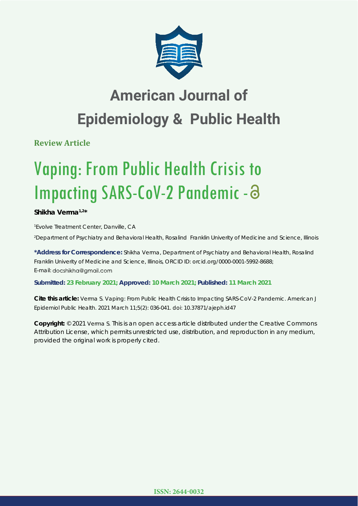

# **American Journal of Epidemiology & Public Health**

**Review Article**

# Vaping: From Public Health Crisis to Impacting SARS-CoV-2 Pandemic - a

**Shikha Verma1,2\***

*1 Evolve Treatment Center, Danville, CA*

*2 Department of Psychiatry and Behavioral Health, Rosalind Franklin Univerity of Medicine and Science, Illinois* 

**\*Address for Correspondence:** Shikha Verma, Department of Psychiatry and Behavioral Health, Rosalind Franklin Univerity of Medicine and Science, Illinois, ORCID ID: orcid.org/0000-0001-5992-8688; E-mail: docshikha@gmail.com

**Submitted: 23 February 2021; Approved: 10 March 2021; Published: 11 March 2021**

**Cite this article:** Verma S. Vaping: From Public Health Crisis to Impacting SARS-CoV-2 Pandemic. American J Epidemiol Public Health. 2021 March 11;5(2): 036-041. doi: 10.37871/ajeph.id47

**Copyright:** © 2021 Verma S. This is an open access article distributed under the Creative Commons Attribution License, which permits unrestricted use, distribution, and reproduction in any medium, provided the original work is properly cited.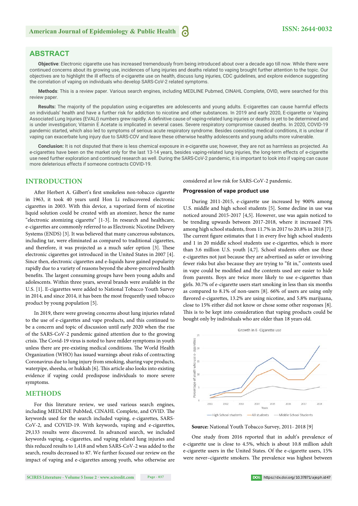# **ABSTRACT**

**Objective**: Electronic cigarette use has increased tremendously from being introduced about over a decade ago till now. While there were continued concerns about its growing use, incidences of lung injuries and deaths related to vaping brought further attention to the topic. Our objectives are to highlight the ill effects of e-cigarette use on health, discuss lung injuries, CDC guidelines, and explore evidence suggesting the correlation of vaping on individuals who develop SARS-CoV-2 related symptoms.

**Methods**: This is a review paper. Various search engines, including MEDLINE Pubmed, CINAHL Complete, OVID, were searched for this review paper.

**Results:** The majority of the population using e-cigarettes are adolescents and young adults. E-cigarettes can cause harmful effects on individuals' health and have a further risk for addiction to nicotine and other substances. In 2019 and early 2020, E-cigarette or Vaping Associated Lung Injuries (EVALI) numbers grew rapidly. A definitive cause of vaping-related lung injuries or deaths is yet to be determined and is under investigation; Vitamin E Acetate is implicated in several cases. Severe respiratory compromise caused deaths. In 2020, COVID-19 pandemic started, which also led to symptoms of serious acute respiratory syndrome. Besides coexisting medical conditions, it is unclear if vaping can exacerbate lung injury due to SARS-COV and leave these otherwise healthy adolescents and young adults more vulnerable.

**Conclusion:** It is not disputed that there is less chemical exposure in e-cigarette use; however, they are not as harmless as projected. As e-cigarettes have been on the market only for the last 13-14 years, besides vaping-related lung injuries, the long-term effects of e-cigarette use need further exploration and continued research as well. During the SARS-CoV-2 pandemic, it is important to look into if vaping can cause more deleterious effects if someone contracts COVID-19.

## **INTRODUCTION**

After Herbert A. Gilbert's first smokeless non-tobacco cigarette in 1963, it took 40 years until Hon Li rediscovered electronic cigarettes in 2003. With this device, a vaporized form of nicotine liquid solution could be created with an atomizer, hence the name "electronic atomizing cigarette" [1-3]. In research and healthcare, e-cigarettes are commonly referred to as Electronic Nicotine Delivery Systems (ENDS) [3]. It was believed that many cancerous substances, including tar, were eliminated as compared to traditional cigarettes, and therefore, it was projected as a much safer option [3]. These electronic cigarettes got introduced in the United States in 2007 [4]. Since then, electronic cigarettes and e-liquids have gained popularity rapidly due to a variety of reasons beyond the above-perceived health benefits. The largest consuming groups have been young adults and adolescents. Within three years, several brands were available in the U.S. [1]. E-cigarettes were added to National Tobacco Youth Survey in 2014, and since 2014, it has been the most frequently used tobacco product by young population [5].

In 2019, there were growing concerns about lung injuries related to the use of e-cigarettes and vape products, and this continued to be a concern and topic of discussion until early 2020 when the rise of the SARS-CoV-2 pandemic gained attention due to the growing crisis. The Covid-19 virus is noted to have milder symptoms in youth unless there are pre-existing medical conditions. The World Health Organization (WHO) has issued warnings about risks of contracting Coronavirus due to lung injury from smoking, sharing vape products, waterpipe, sheesha, or hukkah [6]. This article also looks into existing evidence if vaping could predispose individuals to more severe symptoms.

# **METHODS**

For this literature review, we used various search engines, including MEDLINE PubMed, CINAHL Complete, and OVID. The keywords used for the search included vaping, e-cigarettes, SARS-CoV-2, and COVID-19. With keywords, vaping and e-cigarettes, 29,133 results were discovered. In advanced search, we included keywords vaping, e-cigarettes, and vaping related lung injuries and this reduced results to 1,418 and when SARS-CoV-2 was added to the search, results decreased to 87. We further focused our review on the impact of vaping and e-cigarettes among youth, who otherwise are considered at low risk for SARS-CoV-2 pandemic.

#### **Progression of vape product use**

During 2011-2015, e-cigarette use increased by 900% among U.S. middle and high school students [5]. Some decline in use was noticed around 2015-2017 [4,5]. However, use was again noticed to be trending upwards between 2017-2018, where it increased 78% among high school students, from 11.7% in 2017 to 20.8% in 2018 [7]. The current figure estimates that 1 in every five high school students and 1 in 20 middle school students use e-cigarettes, which is more than 3.6 million U.S. youth  $[4,7]$ . School students often use these e-cigarettes not just because they are advertised as safer or involving fewer risks but also because they are trying to "fit in," contents used in vape could be modified and the contents used are easier to hide from parents. Boys are twice more likely to use e-cigarettes than girls. 30.7% of e-cigarette users start smoking in less than six months as compared to 8.1% of non-users [8]. 66% of users are using only flavored e-cigarettes, 13.2% are using nicotine, and 5.8% marijuana, close to 15% either did not know or chose some other responses [8]. This is to be kept into consideration that vaping products could be bought only by individuals who are older than 18 years old.



**Source:** National Youth Tobacco Survey, 2011- 2018 [9]

One study from 2016 reported that in adult's prevalence of e-cigarette use is close to 4.5%, which is about 10.8 million adult e-cigarette users in the United States. Of the e-cigarette users, 15% were never-cigarette smokers. The prevalence was highest between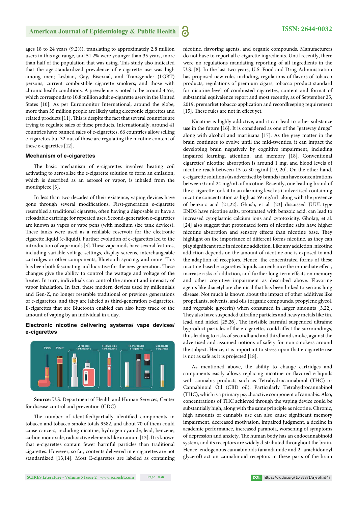ages 18 to 24 years (9.2%), translating to approximately 2.8 million users in this age range, and 51.2% were younger than 35 years, more than half of the population that was using. This study also indicated that the age-standardized prevalence of e-cigarette use was high among men; Lesbian, Gay, Bisexual, and Transgender (LGBT) persons; current combustible cigarette smokers; and those with chronic health conditions. A prevalence is noted to be around 4.5%, which corresponds to 10.8 million adult e-cigarette users in the United States [10]. As per Euromonitor International, around the globe, more than 35 million people are likely using electronic cigarettes and related products [11]. This is despite the fact that several countries are trying to regulate sales of these products. Internationally, around 41 countries have banned sales of e-cigarettes, 66 countries allow selling e-cigarettes but 32 out of those are regulating the nicotine content of these e-cigarettes [12].

#### **Mechanism of e-cigarettes**

The basic mechanism of e-cigarettes involves heating coil activating to aerosolize the e-cigarette solution to form an emission, which is described as an aerosol or vapor, is inhaled from the mouthpiece [3].

In less than two decades of their existence, vaping devices have gone through several modifications. First-generation e-cigarette resembled a traditional cigarette, often having a disposable or have a reloadable cartridge for repeated uses. Second-generation e-cigarettes are known as vapes or vape pens (with medium size tank devices). These tanks were used as a refillable reservoir for the electronic cigarette liquid (e-liquid). Further evolution of e-cigarettes led to the introduction of vape mods [3]. These vape mods have several features, including variable voltage settings, display screens, interchangeable cartridges or other components, Bluetooth syncing, and more. This has been both fascinating and lucrative for the new generation. These changes give the ability to control the wattage and voltage of the heater. In turn, individuals can control the amount and intensity of vapor inhalation. In fact, these modern devices used by millennials and Gen-Z, no longer resemble traditional or previous generations of e-cigarettes, and they are labeled as third-generation e-cigarettes. E-cigarettes that are Bluetooth enabled can also keep track of the amount of vaping by an individual in a day.

#### **Electronic nicotine delivering systems/ vape devices/ e-cigarettes**



**Source:** U.S. Department of Health and Human Services, Center for disease control and prevention (CDC)

The number of identified/partially identified components in tobacco and tobacco smoke totals 9582, and about 70 of them could cause cancers, including nicotine, hydrogen cyanide, lead, benzene, carbon monoxide, radioactive elements like uranium [13]. It is known that e-cigarettes contain fewer harmful particles than traditional cigarettes. However, so far, contents delivered in e-cigarettes are not standardized [13,14]. Most E-cigarettes are labeled as containing nicotine, flavoring agents, and organic compounds. Manufacturers do not have to report all e-cigarette ingredients. Until recently, there were no regulations mandating reporting of all ingredients in the U.S. [8]. In the last two years, U.S. Food and Drug Administration has proposed new rules including, regulations of flavors of tobacco products, regulations of premium cigars, tobacco product standard for nicotine level of combusted cigarettes, content and format of substantial equivalence report and most recently, as of September 25, 2019, premarket tobacco application and recordkeeping requirement [15]. These rules are not in effect yet.

Nicotine is highly addictive, and it can lead to other substance use in the future [16]. It is considered as one of the "gateway drugs" along with alcohol and marijuana [17]. As the grey matter in the brain continues to evolve until the mid-twenties, it can impact the developing brain negatively by cognitive impairment, including impaired learning, attention, and memory [18]. Conventional cigarettes' nicotine absorption is around 1 mg, and blood levels of nicotine reach between 15 to 30 ng/ml [19, 20]. On the other hand, e-cigarette solutions (as advertised by brands) can have concentrations between 0 and 24 mg/mL of nicotine. Recently, one leading brand of the e-cigarette took it to an alarming level as it advertised containing nicotine concentration as high as 59 mg/mL along with the presence of benzoic acid [21,22]. Ghosh, et al. [23] discussed JUUL-type ENDS have nicotine salts, protonated with benzoic acid, can lead to increased cytoplasmic calcium ions and cytotoxicity. Gholap, et al. [24] also suggest that protonated form of nicotine salts have higher nicotine absorption and sensory effects than nicotine base. They highlight on the importance of different forms nicotine, as they can play significant role in nicotine addiction. Like any addiction, nicotine addiction depends on the amount of nicotine one is exposed to and the adaption of receptors. Hence, the concentrated forms of these nicotine-based e-cigarettes liquids can enhance the immediate effect, increase risks of addiction, and further long-term effects on memory and other cognitive impairment as described above. Flavoring agents like diacetyl are chemical that has been linked to serious lung disease. Not much is known about the impact of other additives like propellants, solvents, and oils (organic compounds, propylene glycol, and vegetable glycerin) when consumed in larger amounts [3,22]. They also have suspended ultrafine particles and heavy metals like tin, lead, and nickel [25,26]. The invisible harmful suspended ultrafine byproduct particles of the e-cigarettes could affect the surroundings, thus leading to risks of secondhand and thirdhand smoke, against the advertised and assumed notions of safety for non-smokers around the subject. Hence, it is important to stress upon that e-cigarette use is not as safe as it is projected [18].

As mentioned above, the ability to change cartridges and components easily allows replacing nicotine or flavored e-liquids with cannabis products such as Tetrahydrocannabinol (THC) or Cannabinoid Oil (CBD oil). Particularly Tetrahydrocannabinol (THC), which is a primary psychoactive component of cannabis. Also, concentrations of THC achieved through the vaping device could be substantially high, along with the same principle as nicotine. Chronic, high amounts of cannabis use can also cause significant memory impairment, decreased motivation, impaired judgment, a decline in academic performance, increased paranoia, worsening of symptoms of depression and anxiety. The human body has an endocannabinoid system, and its receptors are widely distributed throughout the brain. Hence, endogenous cannabinoids (anandamide and 2- arachidonoyl glycerol) act on cannabinoid receptors in these parts of the brain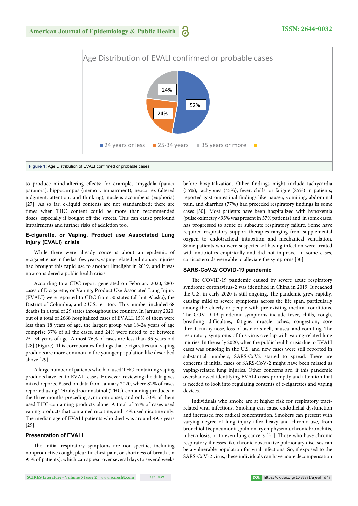to produce mind-altering effects; for example, amygdala (panic/ paranoia), hippocampus (memory impairment), neocortex (altered judgment, attention, and thinking), nucleus accumbens (euphoria) [27]. As so far, e-liquid contents are not standardized; there are times when THC content could be more than recommended doses, especially if bought off the streets. This can cause profound impairments and further risks of addiction too.

#### **E-cigarette, or Vaping, Product use Associated Lung Injury (EVALI) crisis**

While there were already concerns about an epidemic of e-cigarette use in the last few years, vaping-related pulmonary injuries had brought this rapid use to another limelight in 2019, and it was now considered a public health crisis.

According to a CDC report generated on February 2020, 2807 cases of E-cigarette, or Vaping, Product Use Associated Lung Injury (EVALI) were reported to CDC from 50 states (all but Alaska), the District of Columbia, and 2 U.S. territory. This number included 68 deaths in a total of 29 states throughout the country. In January 2020, out of a total of 2668 hospitalized cases of EVALI, 15% of them were less than 18 years of age, the largest group was 18-24 years of age comprise 37% of all the cases, and 24% were noted to be between 25- 34 years of age. Almost 76% of cases are less than 35 years old [28] (Figure). This corroborates findings that e-cigarettes and vaping products are more common in the younger population like described above [29].

A large number of patients who had used THC-containing vaping products have led to EVALI cases. However, reviewing the data gives mixed reports. Based on data from January 2020, where 82% of cases reported using Tetrahydrocannabinol (THC)-containing products in the three months preceding symptom onset, and only 33% of them used THC-containing products alone. A total of 57% of cases used vaping products that contained nicotine, and 14% used nicotine only. The median age of EVALI patients who died was around 49.5 years [29].

## **Presentation of EVALI**

The initial respiratory symptoms are non-specific, including nonproductive cough, pleuritic chest pain, or shortness of breath (in 95% of patients), which can appear over several days to several weeks before hospitalization. Other findings might include tachycardia (55%), tachypnea (45%), fever, chills, or fatigue (85%) in patients; reported gastrointestinal findings like nausea, vomiting, abdominal pain, and diarrhea (77%) had preceded respiratory findings in some cases [30]. Most patients have been hospitalized with hypoxemia (pulse oximetry <95% was present in 57% patients) and, in some cases, has progressed to acute or subacute respiratory failure. Some have required respiratory support therapies ranging from supplemental oxygen to endotracheal intubation and mechanical ventilation. Some patients who were suspected of having infection were treated with antibiotics empirically and did not improve. In some cases, corticosteroids were able to alleviate the symptoms [30].

#### **SARS-CoV-2/ COVID-19 pandemic**

The COVID-19 pandemic caused by severe acute respiratory syndrome coronavirus-2 was identified in China in 2019. It reached the U.S. in early 2020 is still ongoing. The pandemic grew rapidly, causing mild to severe symptoms across the life span, particularly among the elderly or people with pre-existing medical conditions. The COVID-19 pandemic symptoms include fever, chills, cough, breathing difficulties, fatigue, muscle aches, congestion, sore throat, runny nose, loss of taste or smell, nausea, and vomiting. The respiratory symptoms of this virus overlap with vaping-related lung injuries. In the early 2020, when the public health crisis due to EVALI cases was ongoing in the U.S. and new cases were still reported in substantial numbers, SARS-CoV2 started to spread. There are concerns if initial cases of SARS-CoV-2 might have been missed as vaping-related lung injuries. Other concerns are, if this pandemic overshadowed identifying EVALI cases promptly and attention that is needed to look into regulating contents of e-cigarettes and vaping devices.

Individuals who smoke are at higher risk for respiratory tractrelated viral infections. Smoking can cause endothelial dysfunction and increased free radical concentration. Smokers can present with varying degree of lung injury after heavy and chronic use, from bronchiolitis, pneumonia, pulmonary emphysema, chronic bronchitis, tuberculosis, or to even lung cancers [31]. Those who have chronic respiratory illnesses like chronic obstructive pulmonary diseases can be a vulnerable population for viral infections. So, if exposed to the SARS-CoV-2 virus, these individuals can have acute decompensation

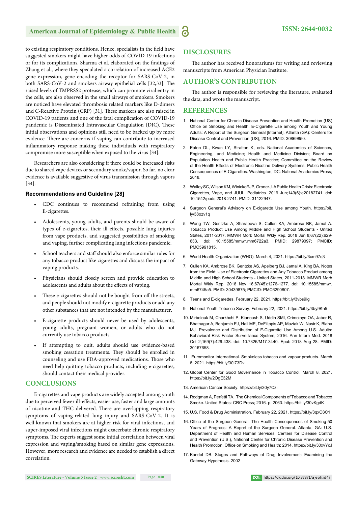to existing respiratory conditions. Hence, specialists in the field have suggested smokers might have higher odds of COVID-19 infections or for its complications. Sharma et al. elaborated on the findings of Zhang et al., where they speculated a correlation of increased ACE2 gene expression, gene encoding the receptor for SARS-CoV-2, in both SARS-CoV-2 and smokers airway epithelial cells [32,33]. The raised levels of TMPRSS2 protease, which can promote viral entry in the cells, are also observed in the small airways of smokers. Smokers are noticed have elevated thrombosis related markers like D-dimers and C-Reactive Protein (CRP) [31]. These markers are also raised in COVID-19 patients and one of the fatal complication of COVID-19 pandemic is Disseminated Intravascular Coagulation (DIC). These initial observations and opinions still need to be backed up by more evidence. There are concerns if vaping can contribute to increased inflammatory response making these individuals with respiratory compromise more susceptible when exposed to the virus [34].

Researchers are also considering if there could be increased risks due to shared vape devices or secondary smoke/vapor. So far, no clear evidence is available suggestive of virus transmission through vapors [34].

#### **Recommendations and Guideline [28]**

- CDC continues to recommend refraining from using E-cigarettes.
- Adolescents, young adults, and parents should be aware of types of e-cigarettes, their ill effects, possible lung injuries from vape products, and suggested possibilities of smoking and vaping, further complicating lung infections pandemic.
- School teachers and staff should also enforce similar rules for any tobacco product like cigarettes and discuss the impact of vaping products.
- Physicians should closely screen and provide education to adolescents and adults about the effects of vaping.
- These e-cigarettes should not be bought from off the streets, and people should not modify e-cigarette products or add any other substances that are not intended by the manufacturer.
- E-cigarette products should never be used by adolescents, young adults, pregnant women, or adults who do not currently use tobacco products.
- If attempting to quit, adults should use evidence-based smoking cessation treatments. They should be enrolled in counseling and use FDA-approved medications. Those who need help quitting tobacco products, including e-cigarettes, should contact their medical provider.

#### **CONCLUSIONS**

E-cigarettes and vape products are widely accepted among youth due to perceived fewer ill-effects, easier use, faster and large amounts of nicotine and THC delivered. There are overlapping respiratory symptoms of vaping-related lung injury and SARS-CoV-2. It is well known that smokers are at higher risk for viral infections, and super-imposed viral infections might exacerbate chronic respiratory symptoms. The experts suggest some initial correlation between viral expression and vaping/smoking based on similar gene expressions. However, more research and evidence are needed to establish a direct correlation.

# **DISCLOSURES**

The author has received honorariums for writing and reviewing manuscripts from American Physician Institute.

#### **AUTHOR'S CONTRIBUTION**

The author is responsible for reviewing the literature, evaluated the data, and wrote the manuscript.

#### **REFERENCES**

- 1. National Center for Chronic Disease Prevention and Health Promotion (US) Office on Smoking and Health. E-Cigarette Use among Youth and Young Adults: A Report of the Surgeon General [Internet]. Atlanta (GA): Centers for Disease Control and Prevention (US); 2016. PMID: 30869850.
- 2. Eaton DL, Kwan LY, Stratton K, eds. National Academies of Sciences, Engineering, and Medicine; Health and Medicine Division; Board on Population Health and Public Health Practice; Committee on the Review of the Health Effects of Electronic Nicotine Delivery Systems. Public Health Consequences of E-Cigarettes. Washington, DC: National Academies Press; 2018.
- 3. Walley SC, Wilson KM, Winickoff JP, Groner J. A Public Health Crisis: Electronic Cigarettes, Vape, and JUUL. Pediatrics. 2019 Jun;143(6):e20182741. doi: 10.1542/peds.2018-2741. PMID: 31122947.
- 4. Surgeon General's Advisory on E-cigarette Use among Youth. https://bit. ly/38ozv1q
- 5. Wang TW, Gentzke A, Sharapova S, Cullen KA, Ambrose BK, Jamal A. Tobacco Product Use Among Middle and High School Students - United States, 2011-2017. MMWR Morb Mortal Wkly Rep. 2018 Jun 8;67(22):629- 633. doi: 10.15585/mmwr.mm6722a3. PMID: 29879097; PMCID: PMC5991815.
- 6. World Health Organization (WHO). March 4, 2021. https://bit.ly/3cm97q3
- 7. Cullen KA, Ambrose BK, Gentzke AS, Apelberg BJ, Jamal A, King BA. Notes from the Field: Use of Electronic Cigarettes and Any Tobacco Product among Middle and High School Students - United States, 2011-2018. MMWR Morb Mortal Wkly Rep. 2018 Nov 16;67(45):1276-1277. doi: 10.15585/mmwr. mm6745a5. PMID: 30439875; PMCID: PMC6290807.
- 8. Teens and E-cigarettes. February 22, 2021. https://bit.ly/3vbs9Ig
- 9. National Youth Tobacco Survey. February 22, 2021. https://bit.ly/3by9Kh5
- 10. Mirbolouk M, Charkhchi P, Kianoush S, Uddin SMI, Orimoloye OA, Jaber R, Bhatnagar A, Benjamin EJ, Hall ME, DeFilippis AP, Maziak W, Nasir K, Blaha MJ. Prevalence and Distribution of E-Cigarette Use Among U.S. Adults: Behavioral Risk Factor Surveillance System, 2016. Ann Intern Med. 2018 Oct 2;169(7):429-438. doi: 10.7326/M17-3440. Epub 2018 Aug 28. PMID: 30167658.
- 11. Euromonitor International. Smokeless tobacco and vapour products. March 8, 2021. https://bit.ly/30I73Dv
- 12. Global Center for Good Governance in Tobacco Control. March 8, 2021. https://bit.ly/2OgE32M
- 13. American Cancer Society. https://bit.ly/30y7Czi
- 14. Rodgman A, Perfetti TA. The Chemical Components of Tobacco and Tobacco Smoke. United States: CRC Press; 2016. p. 2063. https://bit.ly/30vKgdK
- 15. U.S. Food & Drug Administration. February 22, 2021. https://bit.ly/3qxO3C1
- 16. Office of the Surgeon General. The Health Consequences of Smoking-50 Years of Progress: A Report of the Surgeon General. Atlanta, GA: U.S. Department of Health and Human Services, Centers for Disease Control and Prevention (U.S.), National Center for Chronic Disease Prevention and Health Promotion, Office on Smoking and Health; 2014. https://bit.ly/30xvYcJ
- 17. Kandel DB. Stages and Pathways of Drug Involvement: Examining the Gateway Hypothesis. 2002